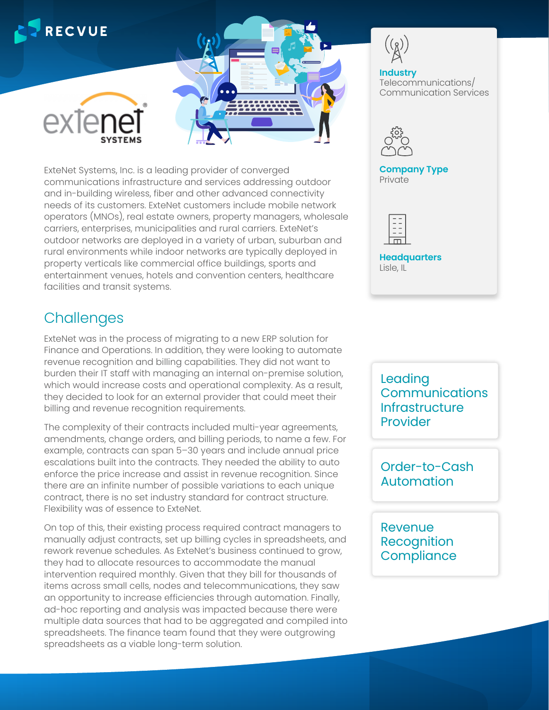

ExteNet Systems, Inc. is a leading provider of converged communications infrastructure and services addressing outdoor and in-building wireless, fiber and other advanced connectivity needs of its customers. ExteNet customers include mobile network operators (MNOs), real estate owners, property managers, wholesale carriers, enterprises, municipalities and rural carriers. ExteNet's outdoor networks are deployed in a variety of urban, suburban and rural environments while indoor networks are typically deployed in property verticals like commercial office buildings, sports and entertainment venues, hotels and convention centers, healthcare facilities and transit systems.

## **Challenges**

ExteNet was in the process of migrating to a new ERP solution for Finance and Operations. In addition, they were looking to automate revenue recognition and billing capabilities. They did not want to burden their IT staff with managing an internal on-premise solution, which would increase costs and operational complexity. As a result, they decided to look for an external provider that could meet their billing and revenue recognition requirements.

The complexity of their contracts included multi-year agreements, amendments, change orders, and billing periods, to name a few. For example, contracts can span 5–30 years and include annual price escalations built into the contracts. They needed the ability to auto enforce the price increase and assist in revenue recognition. Since there are an infinite number of possible variations to each unique contract, there is no set industry standard for contract structure. Flexibility was of essence to ExteNet.

On top of this, their existing process required contract managers to manually adjust contracts, set up billing cycles in spreadsheets, and rework revenue schedules. As ExteNet's business continued to grow, they had to allocate resources to accommodate the manual intervention required monthly. Given that they bill for thousands of items across small cells, nodes and telecommunications, they saw an opportunity to increase efficiencies through automation. Finally, ad-hoc reporting and analysis was impacted because there were multiple data sources that had to be aggregated and compiled into spreadsheets. The finance team found that they were outgrowing spreadsheets as a viable long-term solution.

**Industry** Telecommunications/ Communication Services



**Company Type Private** 



**Headquarters** Lisle, IL

Leading **Communications Infrastructure** Provider

Order-to-Cash Automation

Revenue Recognition **Compliance**